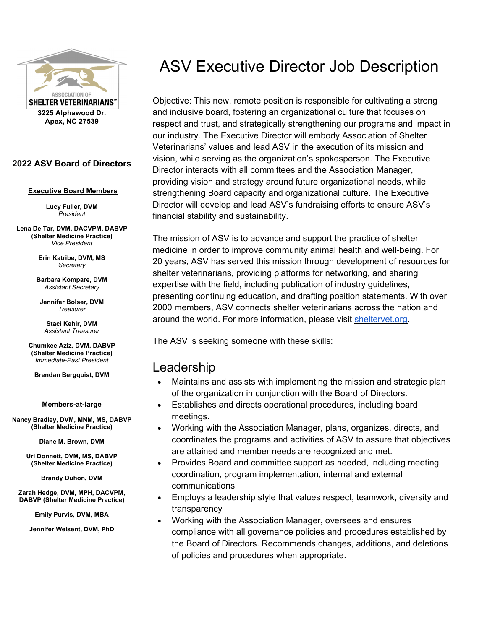

**2022 ASV Board of Directors** 

#### **Executive Board Members**

**Lucy Fuller, DVM**  *President* 

**Lena De Tar, DVM, DACVPM, DABVP (Shelter Medicine Practice)**  *Vice President* 

> **Erin Katribe, DVM, MS**  *Secretary*

**Barbara Kompare, DVM**  *Assistant Secretary* 

**Jennifer Bolser, DVM**  *Treasurer*

**Staci Kehir, DVM**  *Assistant Treasurer* 

**Chumkee Aziz, DVM, DABVP (Shelter Medicine Practice)**  *Immediate-Past President* 

**Brendan Bergquist, DVM** 

#### **Members-at-large**

**Nancy Bradley, DVM, MNM, MS, DABVP (Shelter Medicine Practice)** 

**Diane M. Brown, DVM** 

**Uri Donnett, DVM, MS, DABVP (Shelter Medicine Practice)** 

**Brandy Duhon, DVM** 

**Zarah Hedge, DVM, MPH, DACVPM, DABVP (Shelter Medicine Practice)** 

**Emily Purvis, DVM, MBA** 

**Jennifer Weisent, DVM, PhD** 

# ASV Executive Director Job Description

Objective: This new, remote position is responsible for cultivating a strong and inclusive board, fostering an organizational culture that focuses on respect and trust, and strategically strengthening our programs and impact in our industry. The Executive Director will embody Association of Shelter Veterinarians' values and lead ASV in the execution of its mission and vision, while serving as the organization's spokesperson. The Executive Director interacts with all committees and the Association Manager, providing vision and strategy around future organizational needs, while strengthening Board capacity and organizational culture. The Executive Director will develop and lead ASV's fundraising efforts to ensure ASV's financial stability and sustainability.

The mission of ASV is to advance and support the practice of shelter medicine in order to improve community animal health and well-being. For 20 years, ASV has served this mission through development of resources for shelter veterinarians, providing platforms for networking, and sharing expertise with the field, including publication of industry guidelines, presenting continuing education, and drafting position statements. With over 2000 members, ASV connects shelter veterinarians across the nation and around the world. For more information, please visit sheltervet.org.

The ASV is seeking someone with these skills:

#### Leadership

- Maintains and assists with implementing the mission and strategic plan of the organization in conjunction with the Board of Directors.
- Establishes and directs operational procedures, including board meetings.
- Working with the Association Manager, plans, organizes, directs, and coordinates the programs and activities of ASV to assure that objectives are attained and member needs are recognized and met.
- Provides Board and committee support as needed, including meeting coordination, program implementation, internal and external communications
- Employs a leadership style that values respect, teamwork, diversity and transparency
- Working with the Association Manager, oversees and ensures compliance with all governance policies and procedures established by the Board of Directors. Recommends changes, additions, and deletions of policies and procedures when appropriate.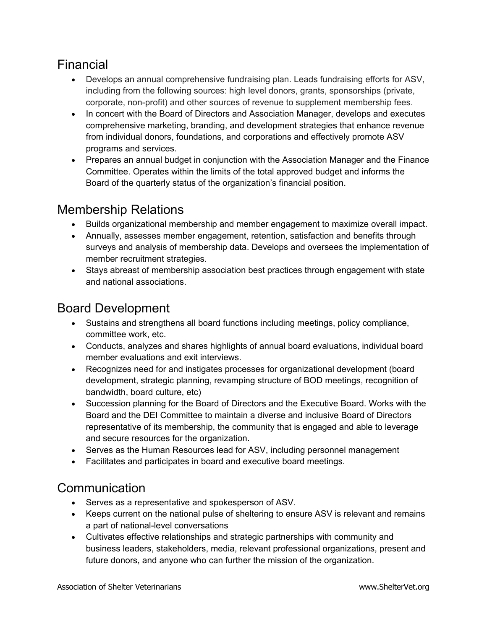### Financial

- Develops an annual comprehensive fundraising plan. Leads fundraising efforts for ASV, including from the following sources: high level donors, grants, sponsorships (private, corporate, non-profit) and other sources of revenue to supplement membership fees.
- In concert with the Board of Directors and Association Manager, develops and executes comprehensive marketing, branding, and development strategies that enhance revenue from individual donors, foundations, and corporations and effectively promote ASV programs and services.
- Prepares an annual budget in conjunction with the Association Manager and the Finance Committee. Operates within the limits of the total approved budget and informs the Board of the quarterly status of the organization's financial position.

#### Membership Relations

- Builds organizational membership and member engagement to maximize overall impact.
- Annually, assesses member engagement, retention, satisfaction and benefits through surveys and analysis of membership data. Develops and oversees the implementation of member recruitment strategies.
- Stays abreast of membership association best practices through engagement with state and national associations.

# Board Development

- Sustains and strengthens all board functions including meetings, policy compliance, committee work, etc.
- Conducts, analyzes and shares highlights of annual board evaluations, individual board member evaluations and exit interviews.
- Recognizes need for and instigates processes for organizational development (board development, strategic planning, revamping structure of BOD meetings, recognition of bandwidth, board culture, etc)
- Succession planning for the Board of Directors and the Executive Board. Works with the Board and the DEI Committee to maintain a diverse and inclusive Board of Directors representative of its membership, the community that is engaged and able to leverage and secure resources for the organization.
- Serves as the Human Resources lead for ASV, including personnel management
- Facilitates and participates in board and executive board meetings.

# **Communication**

- Serves as a representative and spokesperson of ASV.
- Keeps current on the national pulse of sheltering to ensure ASV is relevant and remains a part of national-level conversations
- Cultivates effective relationships and strategic partnerships with community and business leaders, stakeholders, media, relevant professional organizations, present and future donors, and anyone who can further the mission of the organization.